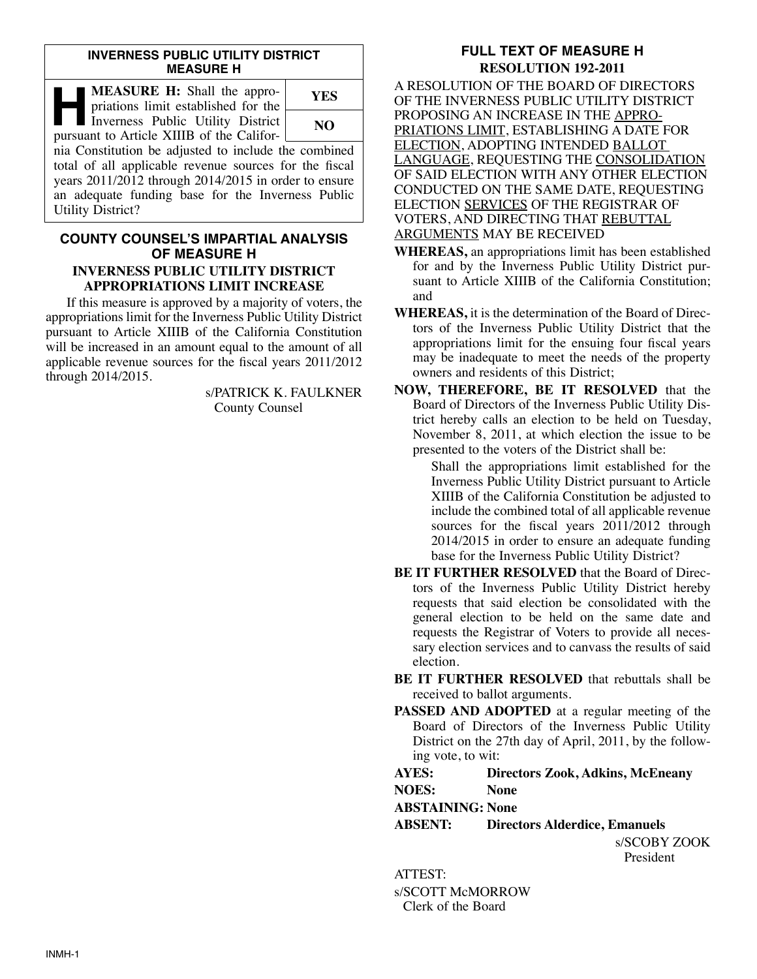#### **INVERNESS PUBLIC UTILITY DISTRICT MEASURE H**

| <b>MEASURE H:</b> Shall the appro-<br>priations limit established for the                                                                                                                                                                               | YES |
|---------------------------------------------------------------------------------------------------------------------------------------------------------------------------------------------------------------------------------------------------------|-----|
| Inverness Public Utility District<br>pursuant to Article XIIIB of the Califor-                                                                                                                                                                          | NO. |
| nia Constitution be adjusted to include the combined<br>total of all applicable revenue sources for the fiscal<br>years 2011/2012 through 2014/2015 in order to ensure<br>an adequate funding base for the Inverness Public<br><b>Utility District?</b> |     |

### **COUNTY COUNSEL'S IMPARTIAL ANALYSIS OF MEASURE H INVERNESS PUBLIC UTILITY DISTRICT APPROPRIATIONS LIMIT INCREASE**

If this measure is approved by a majority of voters, the appropriations limit for the Inverness Public Utility District pursuant to Article XIIIB of the California Constitution will be increased in an amount equal to the amount of all applicable revenue sources for the fiscal years 2011/2012 through 2014/2015.

> s/PATRICK K. FAULKNER County Counsel

# **FULL TEXT OF MEASURE H RESOLUTION 192-2011**

A RESOLUTION OF THE BOARD OF DIRECTORS OF THE INVERNESS PUBLIC UTILITY DISTRICT PROPOSING AN INCREASE IN THE APPRO-PRIATIONS LIMIT, ESTABLISHING A DATE FOR ELECTION, ADOPTING INTENDED BALLOT LANGUAGE, REQUESTING THE CONSOLIDATION OF SAID ELECTION WITH ANY OTHER ELECTION CONDUCTED ON THE SAME DATE, REQUESTING ELECTION SERVICES OF THE REGISTRAR OF VOTERS, AND DIRECTING THAT REBUTTAL ARGUMENTS MAY BE RECEIVED

- **WHEREAS,** an appropriations limit has been established for and by the Inverness Public Utility District pursuant to Article XIIIB of the California Constitution; and
- **WHEREAS,** it is the determination of the Board of Direc tors of the Inverness Public Utility District that the appropriations limit for the ensuing four fiscal years may be inadequate to meet the needs of the property owners and residents of this District;
- **NOW, THEREFORE, BE IT RESOLVED** that the Board of Directors of the Inverness Public Utility District hereby calls an election to be held on Tuesday, November 8, 2011, at which election the issue to be presented to the voters of the District shall be:

Shall the appropriations limit established for the Inverness Public Utility District pursuant to Article XIIIB of the California Constitution be adjusted to include the combined total of all applicable revenue sources for the fiscal years 2011/2012 through 2014/2015 in order to ensure an adequate funding base for the Inverness Public Utility District?

- **BE IT FURTHER RESOLVED** that the Board of Directors of the Inverness Public Utility District hereby requests that said election be consolidated with the general election to be held on the same date and requests the Registrar of Voters to provide all necessary election services and to canvass the results of said election.
- **BE IT FURTHER RESOLVED** that rebuttals shall be received to ballot arguments.
- **PASSED AND ADOPTED** at a regular meeting of the Board of Directors of the Inverness Public Utility District on the 27th day of April, 2011, by the following vote, to wit:

## **AYES: Directors Zook, Adkins, McEneany**

**NOES: None**

**ABSTAINING: None**

**ABSENT: Directors Alderdice, Emanuels**

s/SCOBY ZOOK President

ATTEST: s/SCOTT McMORROW Clerk of the Board